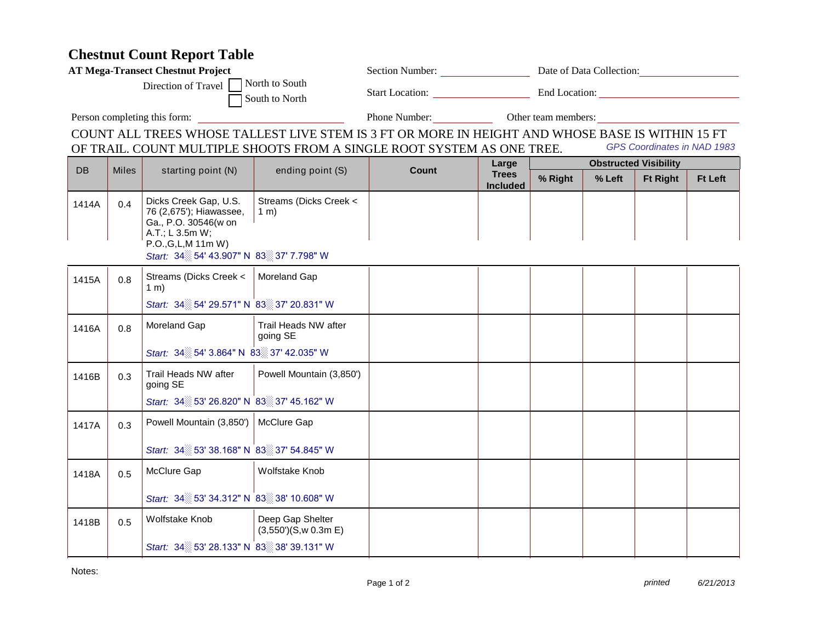## **Chestnut Count Report Table**

| <b>AT Mega-Transect Chestnut Project</b>                                                         |              |                                                                                                                                                                |                                         |                             |                                          |                                   |        |                 |                |  |
|--------------------------------------------------------------------------------------------------|--------------|----------------------------------------------------------------------------------------------------------------------------------------------------------------|-----------------------------------------|-----------------------------|------------------------------------------|-----------------------------------|--------|-----------------|----------------|--|
| North to South<br>Direction of Travel<br>South to North                                          |              |                                                                                                                                                                |                                         |                             |                                          |                                   |        |                 |                |  |
| Person completing this form:                                                                     |              |                                                                                                                                                                |                                         |                             |                                          | Phone Number: Other team members: |        |                 |                |  |
| COUNT ALL TREES WHOSE TALLEST LIVE STEM IS 3 FT OR MORE IN HEIGHT AND WHOSE BASE IS WITHIN 15 FT |              |                                                                                                                                                                |                                         |                             |                                          |                                   |        |                 |                |  |
| OF TRAIL. COUNT MULTIPLE SHOOTS FROM A SINGLE ROOT SYSTEM AS ONE TREE.                           |              |                                                                                                                                                                |                                         | GPS Coordinates in NAD 1983 |                                          |                                   |        |                 |                |  |
| <b>DB</b>                                                                                        | <b>Miles</b> | starting point (N)                                                                                                                                             | ending point (S)                        | Count                       | Large<br><b>Trees</b><br><b>Included</b> | <b>Obstructed Visibility</b>      |        |                 |                |  |
|                                                                                                  |              |                                                                                                                                                                |                                         |                             |                                          | % Right                           | % Left | <b>Ft Right</b> | <b>Ft Left</b> |  |
| 1414A                                                                                            | 0.4          | Dicks Creek Gap, U.S.<br>76 (2,675'); Hiawassee,<br>Ga., P.O. 30546(w on<br>A.T.; L 3.5m W;<br>P.O., G, L, M 11m W)<br>Start: 34 54' 43.907" N 83 37' 7.798" W | Streams (Dicks Creek <<br>$1 \text{ m}$ |                             |                                          |                                   |        |                 |                |  |
| 1415A                                                                                            | 0.8          | Streams (Dicks Creek <<br>$1 \text{ m}$                                                                                                                        | <b>Moreland Gap</b>                     |                             |                                          |                                   |        |                 |                |  |
|                                                                                                  |              | Start: 34 54' 29.571" N 83 37' 20.831" W                                                                                                                       |                                         |                             |                                          |                                   |        |                 |                |  |
| 1416A                                                                                            | 0.8          | Moreland Gap                                                                                                                                                   | Trail Heads NW after<br>going SE        |                             |                                          |                                   |        |                 |                |  |
|                                                                                                  |              | Start: 34 54' 3.864" N 83 37' 42.035" W                                                                                                                        |                                         |                             |                                          |                                   |        |                 |                |  |
| 1416B                                                                                            | 0.3          | Trail Heads NW after<br>going SE                                                                                                                               | Powell Mountain (3,850')                |                             |                                          |                                   |        |                 |                |  |
|                                                                                                  |              | Start: 34 53' 26.820" N 83 37' 45.162" W                                                                                                                       |                                         |                             |                                          |                                   |        |                 |                |  |
| 1417A                                                                                            | 0.3          | Powell Mountain (3,850')                                                                                                                                       | McClure Gap                             |                             |                                          |                                   |        |                 |                |  |
|                                                                                                  |              | Start: 34 53' 38.168" N 83 37' 54.845" W                                                                                                                       |                                         |                             |                                          |                                   |        |                 |                |  |
| 1418A                                                                                            | 0.5          | McClure Gap                                                                                                                                                    | Wolfstake Knob                          |                             |                                          |                                   |        |                 |                |  |
|                                                                                                  |              | Start: 34 53' 34.312" N 83 38' 10.608" W                                                                                                                       |                                         |                             |                                          |                                   |        |                 |                |  |
| 1418B                                                                                            | 0.5          | Wolfstake Knob                                                                                                                                                 | Deep Gap Shelter<br>(3,550)(S,w 0.3m E) |                             |                                          |                                   |        |                 |                |  |
|                                                                                                  |              | Start: 34 53' 28.133" N 83 38' 39.131" W                                                                                                                       |                                         |                             |                                          |                                   |        |                 |                |  |

Notes: